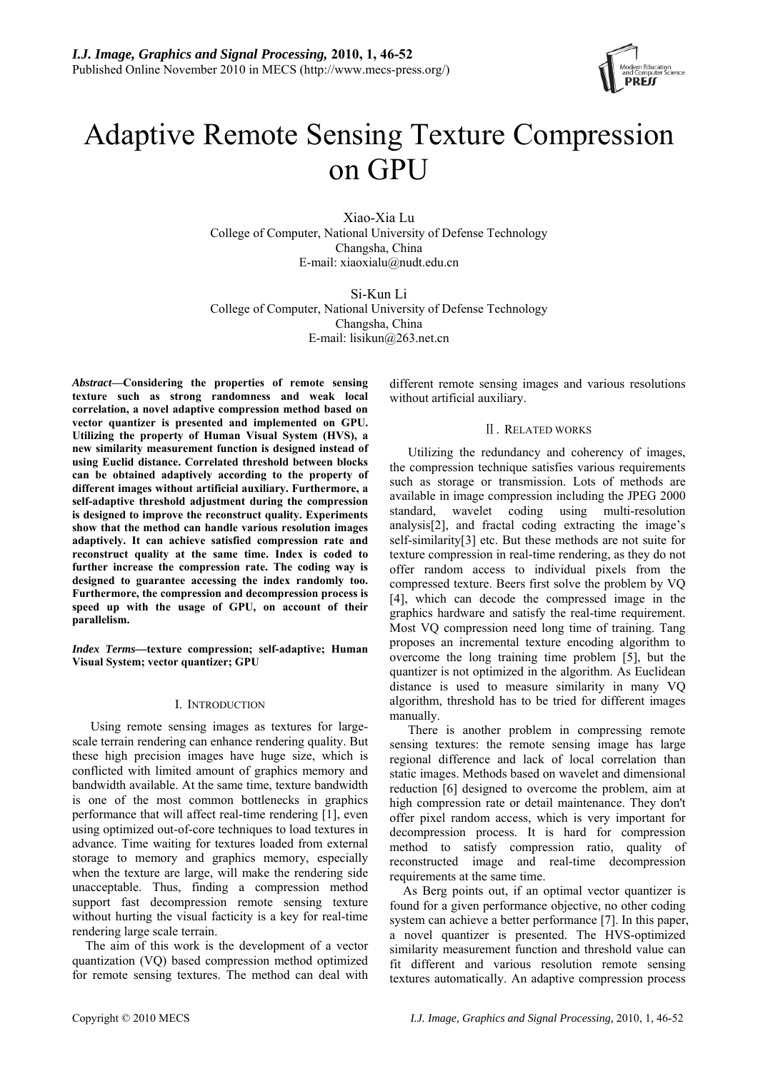

# Adaptive Remote Sensing Texture Compression on GPU

Xiao-Xia Lu College of Computer, National University of Defense Technology Changsha, China E-mail: xiaoxialu@nudt.edu.cn

Si-Kun Li College of Computer, National University of Defense Technology Changsha, China E-mail: lisikun@263.net.cn

*Abstract***—Considering the properties of remote sensing texture such as strong randomness and weak local correlation, a novel adaptive compression method based on vector quantizer is presented and implemented on GPU. Utilizing the property of Human Visual System (HVS), a new similarity measurement function is designed instead of using Euclid distance. Correlated threshold between blocks can be obtained adaptively according to the property of different images without artificial auxiliary. Furthermore, a self-adaptive threshold adjustment during the compression is designed to improve the reconstruct quality. Experiments show that the method can handle various resolution images adaptively. It can achieve satisfied compression rate and reconstruct quality at the same time. Index is coded to further increase the compression rate. The coding way is designed to guarantee accessing the index randomly too. Furthermore, the compression and decompression process is speed up with the usage of GPU, on account of their parallelism.** 

*Index Terms—***texture compression; self-adaptive; Human Visual System; vector quantizer; GPU** 

## I. INTRODUCTION

Using remote sensing images as textures for largescale terrain rendering can enhance rendering quality. But these high precision images have huge size, which is conflicted with limited amount of graphics memory and bandwidth available. At the same time, texture bandwidth is one of the most common bottlenecks in graphics performance that will affect real-time rendering [1], even using optimized out-of-core techniques to load textures in advance. Time waiting for textures loaded from external storage to memory and graphics memory, especially when the texture are large, will make the rendering side unacceptable. Thus, finding a compression method support fast decompression remote sensing texture without hurting the visual facticity is a key for real-time rendering large scale terrain.

The aim of this work is the development of a vector quantization (VQ) based compression method optimized for remote sensing textures. The method can deal with different remote sensing images and various resolutions without artificial auxiliary.

# Ⅱ. RELATED WORKS

Utilizing the redundancy and coherency of images, the compression technique satisfies various requirements such as storage or transmission. Lots of methods are available in image compression including the JPEG 2000 standard, wavelet coding using multi-resolution analysis[2], and fractal coding extracting the image's self-similarity[3] etc. But these methods are not suite for texture compression in real-time rendering, as they do not offer random access to individual pixels from the compressed texture. Beers first solve the problem by VQ [4], which can decode the compressed image in the graphics hardware and satisfy the real-time requirement. Most VQ compression need long time of training. Tang proposes an incremental texture encoding algorithm to overcome the long training time problem [5], but the quantizer is not optimized in the algorithm. As Euclidean distance is used to measure similarity in many VQ algorithm, threshold has to be tried for different images manually.

There is another problem in compressing remote sensing textures: the remote sensing image has large regional difference and lack of local correlation than static images. Methods based on wavelet and dimensional reduction [6] designed to overcome the problem, aim at high compression rate or detail maintenance. They don't offer pixel random access, which is very important for decompression process. It is hard for compression method to satisfy compression ratio, quality of reconstructed image and real-time decompression requirements at the same time.

As Berg points out, if an optimal vector quantizer is found for a given performance objective, no other coding system can achieve a better performance [7]. In this paper, a novel quantizer is presented. The HVS-optimized similarity measurement function and threshold value can fit different and various resolution remote sensing textures automatically. An adaptive compression process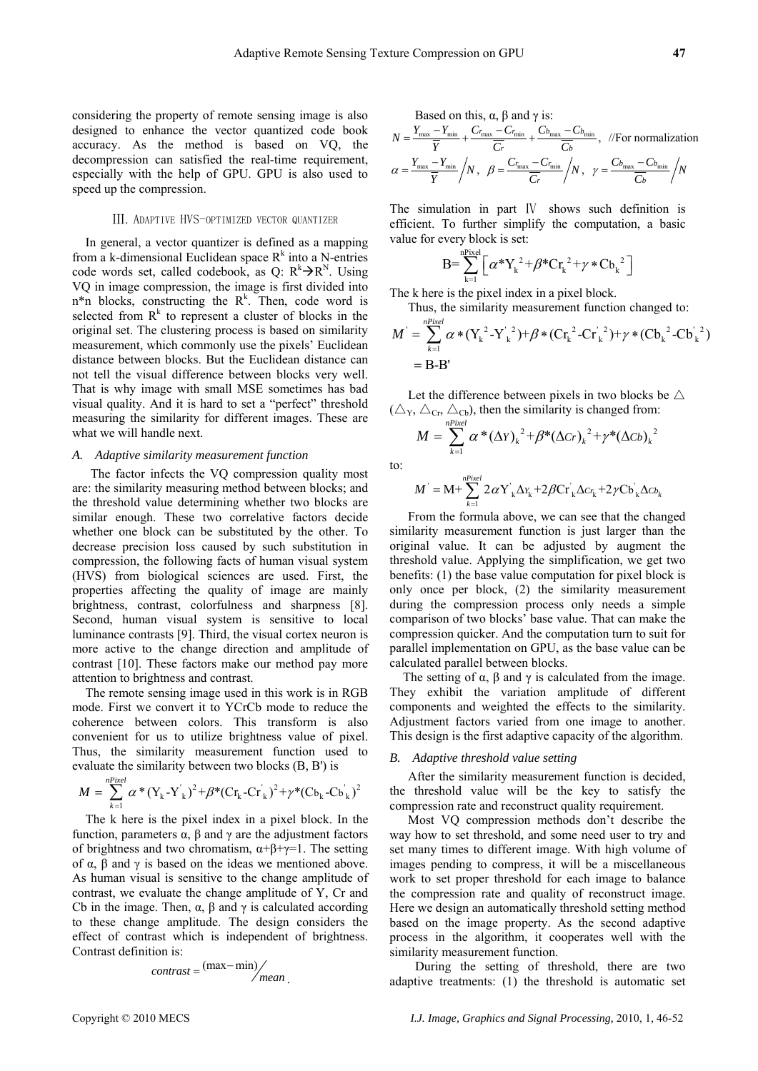considering the property of remote sensing image is also designed to enhance the vector quantized code book accuracy. As the method is based on VQ, the decompression can satisfied the real-time requirement, especially with the help of GPU. GPU is also used to speed up the compression.

### Ⅲ. ADAPTIVE HVS-OPTIMIZED VECTOR QUANTIZER

In general, a vector quantizer is defined as a mapping from a k-dimensional Euclidean space  $R^k$  into a N-entries code words set, called codebook, as Q:  $R^k \rightarrow R^N$ . Using VQ in image compression, the image is first divided into  $n^*n$  blocks, constructing the  $R^k$ . Then, code word is selected from  $R<sup>k</sup>$  to represent a cluster of blocks in the original set. The clustering process is based on similarity measurement, which commonly use the pixels' Euclidean distance between blocks. But the Euclidean distance can not tell the visual difference between blocks very well. That is why image with small MSE sometimes has bad visual quality. And it is hard to set a "perfect" threshold measuring the similarity for different images. These are what we will handle next.

#### *A. Adaptive similarity measurement function*

The factor infects the VQ compression quality most are: the similarity measuring method between blocks; and the threshold value determining whether two blocks are similar enough. These two correlative factors decide whether one block can be substituted by the other. To decrease precision loss caused by such substitution in compression, the following facts of human visual system (HVS) from biological sciences are used. First, the properties affecting the quality of image are mainly brightness, contrast, colorfulness and sharpness [8]. Second, human visual system is sensitive to local luminance contrasts [9]. Third, the visual cortex neuron is more active to the change direction and amplitude of contrast [10]. These factors make our method pay more attention to brightness and contrast.

The remote sensing image used in this work is in RGB mode. First we convert it to YCrCb mode to reduce the coherence between colors. This transform is also convenient for us to utilize brightness value of pixel. Thus, the similarity measurement function used to evaluate the similarity between two blocks (B, B') is

$$
M = \sum_{k=1}^{nPixel} \alpha * (Y_k - Y_k)^2 + \beta * (C_{r_k} - C_{r_k})^2 + \gamma * (C_{r_k} - C_{r_k})^2
$$

The k here is the pixel index in a pixel block. In the function, parameters α, β and γ are the adjustment factors of brightness and two chromatism,  $\alpha+\beta+\gamma=1$ . The setting of α, β and γ is based on the ideas we mentioned above. As human visual is sensitive to the change amplitude of contrast, we evaluate the change amplitude of Y, Cr and Cb in the image. Then,  $\alpha$ ,  $\beta$  and  $\gamma$  is calculated according to these change amplitude. The design considers the effect of contrast which is independent of brightness. Contrast definition is:

$$
contrast = \frac{(max - min)}{mean}
$$

Based on this, 
$$
\alpha
$$
,  $\beta$  and  $\gamma$  is:  
\n
$$
N = \frac{Y_{\text{max}} - Y_{\text{min}}}{\overline{Y}} + \frac{C_{r_{\text{max}}} - C_{r_{\text{min}}}}{\overline{C_r}} + \frac{C_{b_{\text{max}}} - C_{b_{\text{min}}}}{\overline{C_b}},
$$
\n//For normalization\n
$$
\alpha = \frac{Y_{\text{max}} - Y_{\text{min}}}{\overline{Y}} / N, \quad \beta = \frac{C_{r_{\text{max}}} - C_{r_{\text{min}}}}{\overline{C_r}} / N, \quad \gamma = \frac{C_{b_{\text{max}}} - C_{b_{\text{min}}}}{\overline{C_b}} / N
$$

The simulation in part IV shows such definition is efficient. To further simplify the computation, a basic value for every block is set:

$$
B = \sum_{k=1}^{nPixel} \left[ \alpha^* Y_k^2 + \beta^* C r_k^2 + \gamma^* C b_k^2 \right]
$$

The k here is the pixel index in a pixel block.

Thus, the similarity measurement function changed to:

$$
M^{'} = \sum_{k=1}^{nPixel} \alpha * (Y_{k}^{2} - Y_{k}^{2}) + \beta * (C_{k}^{2} - C_{k}^{2}) + \gamma * (C_{k}^{2} - C_{k}^{2})
$$
  
= B-B'

Let the difference between pixels in two blocks be  $\triangle$  $(\triangle_Y, \triangle_{Cr}, \triangle_{Cb})$ , then the similarity is changed from:

$$
M = \sum_{k=1}^{nPixel} \alpha^* (\Delta Y)_k^2 + \beta^* (\Delta C_r)_k^2 + \gamma^* (\Delta C_b)_k^2
$$

to:

$$
M^{\prime} = M + \sum_{k=1}^{n^{\text{Prixel}}} 2 \alpha Y_{k}^{\prime} \Delta Y_{k} + 2 \beta C r_{k}^{\prime} \Delta C r_{k} + 2 \gamma C b_{k}^{\prime} \Delta C b_{k}
$$

From the formula above, we can see that the changed similarity measurement function is just larger than the original value. It can be adjusted by augment the threshold value. Applying the simplification, we get two benefits: (1) the base value computation for pixel block is only once per block, (2) the similarity measurement during the compression process only needs a simple comparison of two blocks' base value. That can make the compression quicker. And the computation turn to suit for parallel implementation on GPU, as the base value can be calculated parallel between blocks.

The setting of  $\alpha$ ,  $\beta$  and  $\gamma$  is calculated from the image. They exhibit the variation amplitude of different components and weighted the effects to the similarity. Adjustment factors varied from one image to another. This design is the first adaptive capacity of the algorithm.

## *B. Adaptive threshold value setting*

After the similarity measurement function is decided, the threshold value will be the key to satisfy the compression rate and reconstruct quality requirement.

Most VQ compression methods don't describe the way how to set threshold, and some need user to try and set many times to different image. With high volume of images pending to compress, it will be a miscellaneous work to set proper threshold for each image to balance the compression rate and quality of reconstruct image. Here we design an automatically threshold setting method based on the image property. As the second adaptive process in the algorithm, it cooperates well with the similarity measurement function.

During the setting of threshold, there are two adaptive treatments: (1) the threshold is automatic set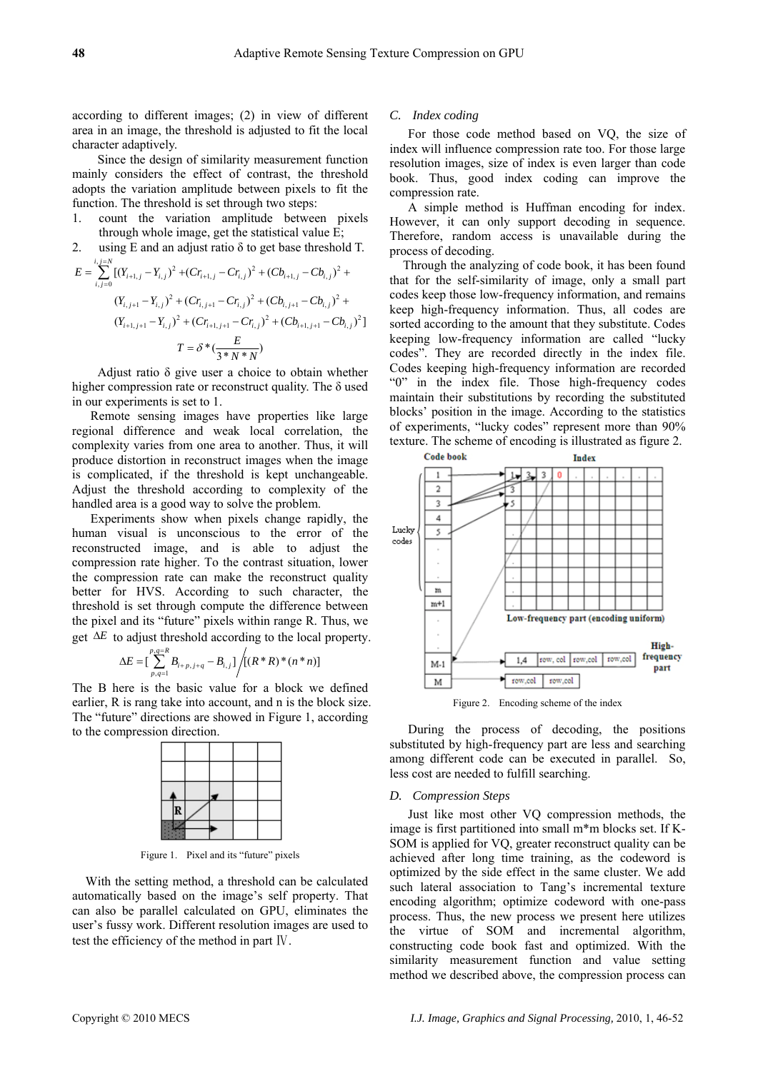according to different images; (2) in view of different area in an image, the threshold is adjusted to fit the local character adaptively.

Since the design of similarity measurement function mainly considers the effect of contrast, the threshold adopts the variation amplitude between pixels to fit the function. The threshold is set through two steps:

- 1. count the variation amplitude between pixels through whole image, get the statistical value E;
- 2. using E and an adjust ratio  $\delta$  to get base threshold T.

$$
E = \sum_{i,j=0}^{i,j=N} \left[ (Y_{i+1,j} - Y_{i,j})^2 + (Cr_{i+1,j} - Cr_{i,j})^2 + (Cb_{i+1,j} - Cb_{i,j})^2 + (Y_{i,j+1} - Y_{i,j})^2 + (Cr_{i,j+1} - Cr_{i,j})^2 + (Cb_{i,j+1} - Cb_{i,j})^2 + (Y_{i+1,j+1} - Y_{i,j})^2 + (Cr_{i+1,j+1} - Cr_{i,j})^2 + (Cb_{i+1,j+1} - Cb_{i,j})^2 \right]
$$
  

$$
T = \delta^* \left( \frac{E}{3*N*N} \right)
$$

Adjust ratio δ give user a choice to obtain whether higher compression rate or reconstruct quality. The  $\delta$  used in our experiments is set to 1.

Remote sensing images have properties like large regional difference and weak local correlation, the complexity varies from one area to another. Thus, it will produce distortion in reconstruct images when the image is complicated, if the threshold is kept unchangeable. Adjust the threshold according to complexity of the handled area is a good way to solve the problem.

Experiments show when pixels change rapidly, the human visual is unconscious to the error of the reconstructed image, and is able to adjust the compression rate higher. To the contrast situation, lower the compression rate can make the reconstruct quality better for HVS. According to such character, the threshold is set through compute the difference between the pixel and its "future" pixels within range R. Thus, we get  $\Delta E$  to adjust threshold according to the local property.

$$
\Delta E = \Big[\sum_{p,q=1}^{p,q=R} B_{i+p,j+q} - B_{i,j}\Big] / \Big[ (R^*R)^* (n*n) \Big]
$$

The B here is the basic value for a block we defined earlier, R is rang take into account, and n is the block size. The "future" directions are showed in Figure 1, according to the compression direction.



Figure 1. Pixel and its "future" pixels

With the setting method, a threshold can be calculated automatically based on the image's self property. That can also be parallel calculated on GPU, eliminates the user's fussy work. Different resolution images are used to test the efficiency of the method in part Ⅳ.

### *C. Index coding*

For those code method based on VQ, the size of index will influence compression rate too. For those large resolution images, size of index is even larger than code book. Thus, good index coding can improve the compression rate.

A simple method is Huffman encoding for index. However, it can only support decoding in sequence. Therefore, random access is unavailable during the process of decoding.

Through the analyzing of code book, it has been found that for the self-similarity of image, only a small part codes keep those low-frequency information, and remains keep high-frequency information. Thus, all codes are sorted according to the amount that they substitute. Codes keeping low-frequency information are called "lucky codes". They are recorded directly in the index file. Codes keeping high-frequency information are recorded "0" in the index file. Those high-frequency codes maintain their substitutions by recording the substituted blocks' position in the image. According to the statistics of experiments, "lucky codes" represent more than 90% texture. The scheme of encoding is illustrated as figure 2.



Figure 2. Encoding scheme of the index

During the process of decoding, the positions substituted by high-frequency part are less and searching among different code can be executed in parallel. So, less cost are needed to fulfill searching.

#### *D. Compression Steps*

Just like most other VQ compression methods, the image is first partitioned into small m\*m blocks set. If K-SOM is applied for VQ, greater reconstruct quality can be achieved after long time training, as the codeword is optimized by the side effect in the same cluster. We add such lateral association to Tang's incremental texture encoding algorithm; optimize codeword with one-pass process. Thus, the new process we present here utilizes the virtue of SOM and incremental algorithm, constructing code book fast and optimized. With the similarity measurement function and value setting method we described above, the compression process can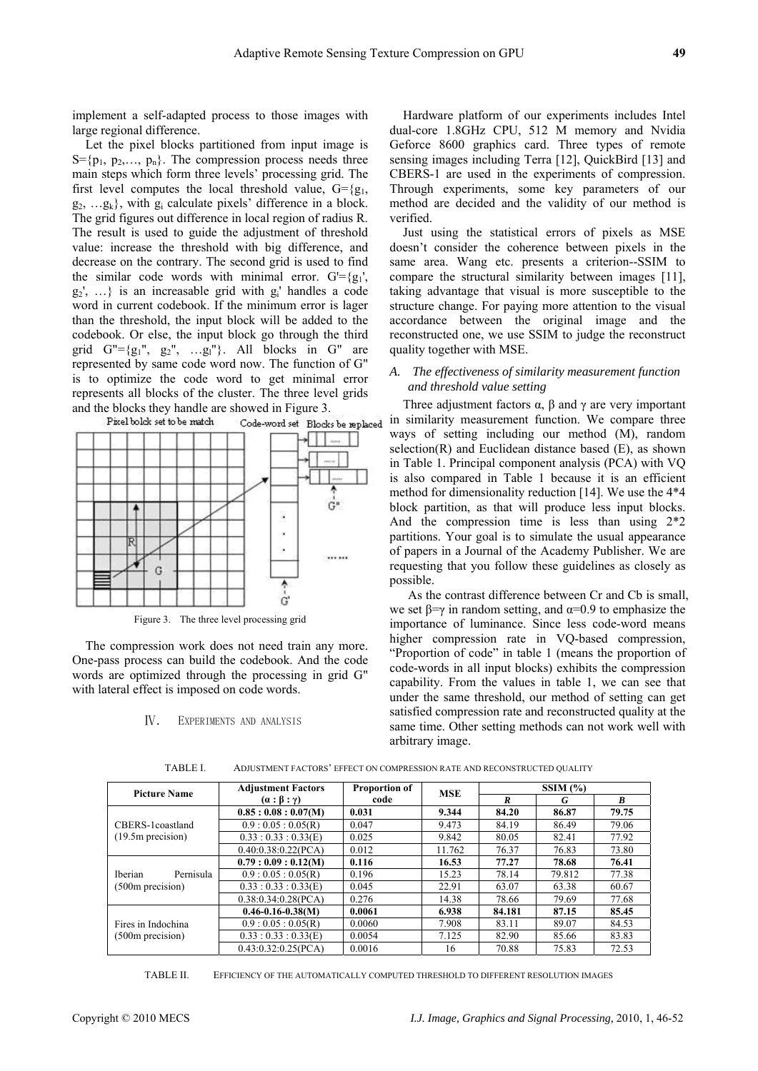implement a self-adapted process to those images with large regional difference.

Let the pixel blocks partitioned from input image is  $S = \{p_1, p_2, \ldots, p_n\}$ . The compression process needs three main steps which form three levels' processing grid. The first level computes the local threshold value,  $G = {g_1, \ldots, g_n}$  $g_2, \ldots, g_k$ , with  $g_i$  calculate pixels' difference in a block. The grid figures out difference in local region of radius R. The result is used to guide the adjustment of threshold value: increase the threshold with big difference, and decrease on the contrary. The second grid is used to find the similar code words with minimal error.  $G' = {g_1}$ ',  $g_2$ ', ...} is an increasable grid with  $g_i$ ' handles a code word in current codebook. If the minimum error is lager than the threshold, the input block will be added to the codebook. Or else, the input block go through the third grid  $G'' = \{g_1'', g_2'', \dots, g_l''\}$ . All blocks in  $G''$  are represented by same code word now. The function of G" is to optimize the code word to get minimal error represents all blocks of the cluster. The three level grids and the blocks they handle are showed in Figure 3.



Figure 3. The three level processing grid

The compression work does not need train any more. One-pass process can build the codebook. And the code words are optimized through the processing in grid G" with lateral effect is imposed on code words.

#### Ⅳ. EXPERIMENTS AND ANALYSIS

Hardware platform of our experiments includes Intel dual-core 1.8GHz CPU, 512 M memory and Nvidia Geforce 8600 graphics card. Three types of remote sensing images including Terra [12], QuickBird [13] and CBERS-1 are used in the experiments of compression. Through experiments, some key parameters of our method are decided and the validity of our method is verified.

Just using the statistical errors of pixels as MSE doesn't consider the coherence between pixels in the same area. Wang etc. presents a criterion--SSIM to compare the structural similarity between images [11], taking advantage that visual is more susceptible to the structure change. For paying more attention to the visual accordance between the original image and the reconstructed one, we use SSIM to judge the reconstruct quality together with MSE.

# *A. The effectiveness of similarity measurement function and threshold value setting*

Three adjustment factors  $\alpha$ ,  $\beta$  and  $\gamma$  are very important in similarity measurement function. We compare three ways of setting including our method (M), random selection(R) and Euclidean distance based  $(E)$ , as shown in Table 1. Principal component analysis (PCA) with VQ is also compared in Table 1 because it is an efficient method for dimensionality reduction [14]. We use the 4\*4 block partition, as that will produce less input blocks. And the compression time is less than using 2\*2 partitions. Your goal is to simulate the usual appearance of papers in a Journal of the Academy Publisher. We are requesting that you follow these guidelines as closely as possible.

As the contrast difference between Cr and Cb is small, we set  $\beta = \gamma$  in random setting, and  $\alpha = 0.9$  to emphasize the importance of luminance. Since less code-word means higher compression rate in VO-based compression, "Proportion of code" in table 1 (means the proportion of code-words in all input blocks) exhibits the compression capability. From the values in table 1, we can see that under the same threshold, our method of setting can get satisfied compression rate and reconstructed quality at the same time. Other setting methods can not work well with arbitrary image.

| <b>Picture Name</b>                                | <b>Adjustment Factors</b>   | Proportion of | <b>MSE</b> | SSIM(%) |        |       |
|----------------------------------------------------|-----------------------------|---------------|------------|---------|--------|-------|
|                                                    | $(\alpha : \beta : \gamma)$ | code          |            | R       | G      | B     |
|                                                    | 0.85:0.08:0.07(M)           | 0.031         | 9.344      | 84.20   | 86.87  | 79.75 |
| CBERS-1coastland                                   | 0.9:0.05:0.05(R)            | 0.047         | 9.473      | 84.19   | 86.49  | 79.06 |
| $(19.5m)$ precision)                               | 0.33:0.33:0.33(E)           | 0.025         | 9.842      | 80.05   | 82.41  | 77.92 |
|                                                    | 0.40:0.38:0.22(PCA)         | 0.012         | 11.762     | 76.37   | 76.83  | 73.80 |
| <b>Iberian</b><br>Pernisula<br>$(500m)$ precision) | 0.79:0.09:0.12(M)           | 0.116         | 16.53      | 77.27   | 78.68  | 76.41 |
|                                                    | 0.9:0.05:0.05(R)            | 0.196         | 15.23      | 78.14   | 79.812 | 77.38 |
|                                                    | 0.33:0.33:0.33(E)           | 0.045         | 22.91      | 63.07   | 63.38  | 60.67 |
|                                                    | 0.38:0.34:0.28(PCA)         | 0.276         | 14.38      | 78.66   | 79.69  | 77.68 |
| Fires in Indochina<br>$(500m)$ precision)          | $0.46 - 0.16 - 0.38(M)$     | 0.0061        | 6.938      | 84.181  | 87.15  | 85.45 |
|                                                    | 0.9:0.05:0.05(R)            | 0.0060        | 7.908      | 83.11   | 89.07  | 84.53 |
|                                                    | 0.33:0.33:0.33(E)           | 0.0054        | 7.125      | 82.90   | 85.66  | 83.83 |
|                                                    | 0.43:0.32:0.25(PCA)         | 0.0016        | 16         | 70.88   | 75.83  | 72.53 |

TABLE I. ADJUSTMENT FACTORS' EFFECT ON COMPRESSION RATE AND RECONSTRUCTED QUALITY

TABLE II. EFFICIENCY OF THE AUTOMATICALLY COMPUTED THRESHOLD TO DIFFERENT RESOLUTION IMAGES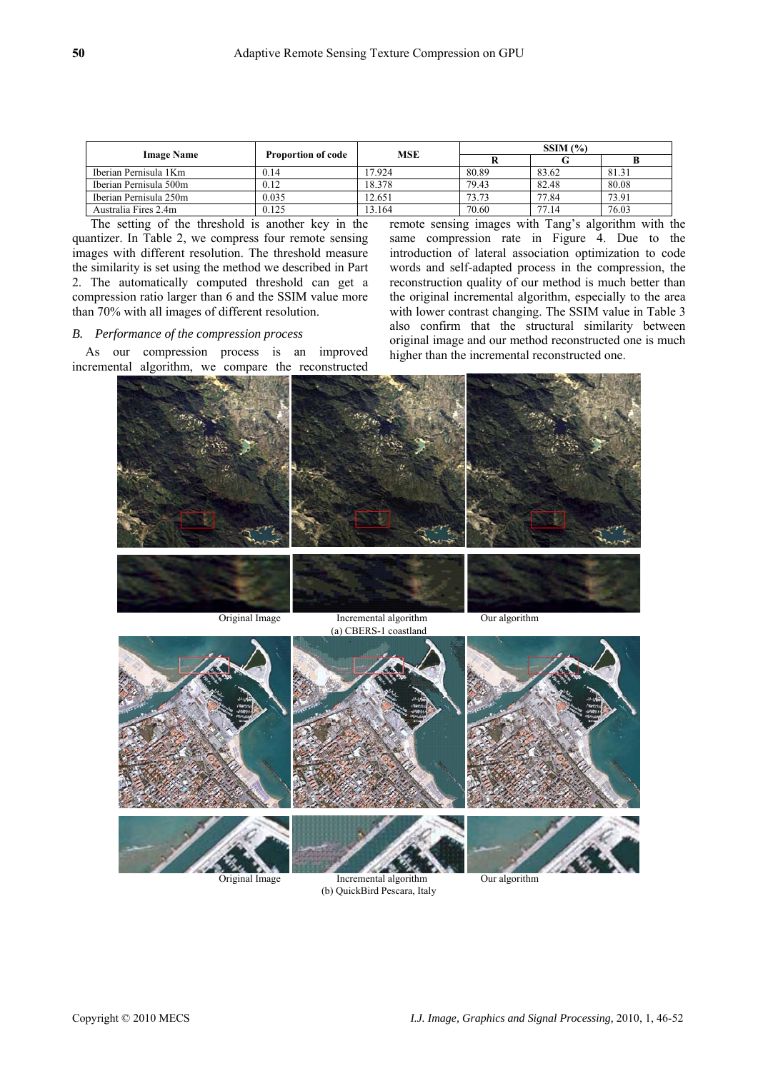| <b>Image Name</b>      | <b>Proportion of code</b> | <b>MSE</b> | SSIM(%) |       |       |
|------------------------|---------------------------|------------|---------|-------|-------|
|                        |                           |            |         |       |       |
| Iberian Pernisula 1Km  | 0.14                      | 17.924     | 80.89   | 83.62 | 81.31 |
| Iberian Pernisula 500m | 0.12                      | 18.378     | 79.43   | 82.48 | 80.08 |
| Iberian Pernisula 250m | 0.035                     | 12.651     | 73.73   | 77.84 | 73.91 |
| Australia Fires 2.4m   | 0.125                     | 13.164     | 70.60   | 77.14 | 76.03 |

The setting of the threshold is another key in the quantizer. In Table 2, we compress four remote sensing images with different resolution. The threshold measure the similarity is set using the method we described in Part 2. The automatically computed threshold can get a compression ratio larger than 6 and the SSIM value more than 70% with all images of different resolution.

## *B. Performance of the compression process*

As our compression process is an improved incremental algorithm, we compare the reconstructed remote sensing images with Tang's algorithm with the same compression rate in Figure 4. Due to the introduction of lateral association optimization to code words and self-adapted process in the compression, the reconstruction quality of our method is much better than the original incremental algorithm, especially to the area with lower contrast changing. The SSIM value in Table 3 also confirm that the structural similarity between original image and our method reconstructed one is much higher than the incremental reconstructed one.



(b) QuickBird Pescara, Italy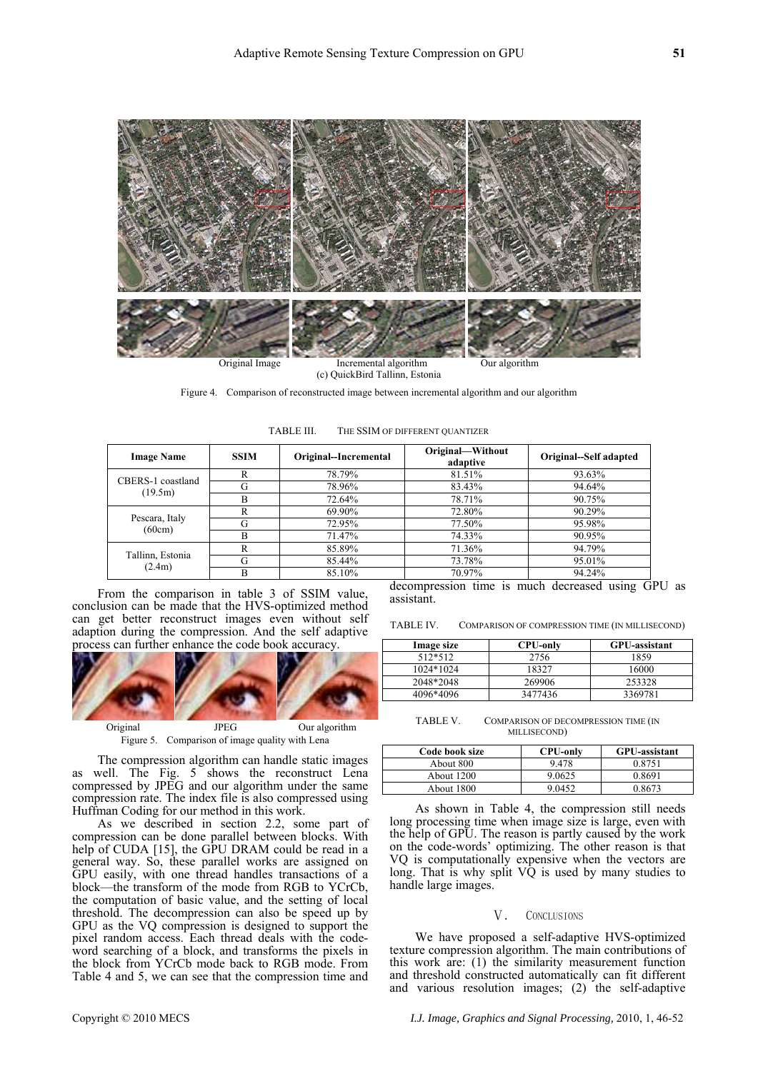

Figure 4. Comparison of reconstructed image between incremental algorithm and our algorithm

| TABLE III. | THE SSIM OF DIFFERENT QUANTIZER |  |
|------------|---------------------------------|--|
|            |                                 |  |

| <b>Image Name</b>          | <b>SSIM</b> | Original--Incremental | Original-Without<br>adaptive | Original-Self adapted |
|----------------------------|-------------|-----------------------|------------------------------|-----------------------|
| CBERS-1 coastland          | R           | 78.79%                | 81.51%                       | 93.63%                |
| (19.5m)                    | G           | 78.96%                | 83.43%                       | 94.64%                |
|                            | B           | 72.64%                | 78.71%                       | 90.75%                |
| Pescara, Italy<br>(60cm)   | R           | 69.90%                | 72.80%                       | 90.29%                |
|                            | G           | 72.95%                | 77.50%                       | 95.98%                |
|                            | B           | 71.47%                | 74.33%                       | 90.95%                |
| Tallinn, Estonia<br>(2.4m) | R           | 85.89%                | 71.36%                       | 94.79%                |
|                            |             | 85.44%                | 73.78%                       | 95.01%                |
|                            | B           | 85.10%                | 70.97%                       | 94.24%                |

From the comparison in table 3 of SSIM value, conclusion can be made that the HVS-optimized method can get better reconstruct images even without self adaption during the compression. And the self adaptive process can further enhance the code book accuracy.



The compression algorithm can handle static images as well. The Fig. 5 shows the reconstruct Lena compressed by JPEG and our algorithm under the same compression rate. The index file is also compressed using Huffman Coding for our method in this work.

As we described in section 2.2, some part of compression can be done parallel between blocks. With help of CUDA [15], the GPU DRAM could be read in a general way. So, these parallel works are assigned on GPU easily, with one thread handles transactions of a block—the transform of the mode from RGB to YCrCb, the computation of basic value, and the setting of local threshold. The decompression can also be speed up by GPU as the VQ compression is designed to support the pixel random access. Each thread deals with the codeword searching of a block, and transforms the pixels in the block from YCrCb mode back to RGB mode. From Table 4 and 5, we can see that the compression time and

decompression time is much decreased using GPU as assistant.

TABLE IV. COMPARISON OF COMPRESSION TIME (IN MILLISECOND)

| Image size | <b>CPU-only</b> | <b>GPU-assistant</b> |
|------------|-----------------|----------------------|
| 512*512    | 2756            | 1859                 |
| 1024*1024  | 18327           | 16000                |
| 2048*2048  | 269906          | 253328               |
| 4096*4096  | 3477436         | 3369781              |

TABLE V. COMPARISON OF DECOMPRESSION TIME (IN MILLISECOND)

| Code book size | <b>CPU-only</b> | <b>GPU-assistant</b> |
|----------------|-----------------|----------------------|
| About 800      | 9478            | 0.8751               |
| About 1200     | 9.0625          | 0.8691               |
| About 1800     | 9.0452          | 0.8673               |

As shown in Table 4, the compression still needs long processing time when image size is large, even with the help of GPU. The reason is partly caused by the work on the code-words' optimizing. The other reason is that VQ is computationally expensive when the vectors are long. That is why split  $V\dot{Q}$  is used by many studies to handle large images.

#### V. CONCLUSIONS

We have proposed a self-adaptive HVS-optimized texture compression algorithm. The main contributions of this work are: (1) the similarity measurement function and threshold constructed automatically can fit different and various resolution images; (2) the self-adaptive